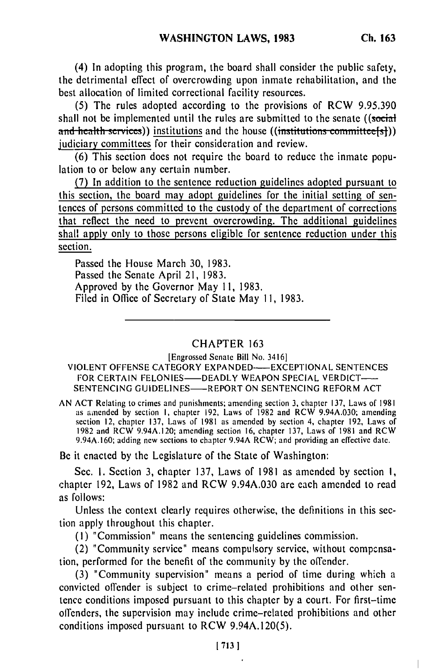(4) In adopting this program, the board shall consider the public safety, the detrimental effect of overcrowding upon inmate rehabilitation, and the best allocation of limited correctional facility resources.

(5) The rules adopted according to the provisions of RCW 9.95.390 shall not be implemented until the rules are submitted to the senate ((social **and health services))** institutions and the house ((institutions committee[s])) judiciary committees for their consideration and review.

(6) This section does not require the board to reduce the inmate population to or below any certain number.

(7) In addition to the sentence reduction guidelines adopted pursuant to this section, the board may adopt guidelines for the initial setting of sentences of persons committed to the custody of the department of corrections that reflect the need to prevent overcrowding. The additional guidelines shall apply only to those persons eligible for sentence reduction under this section.

Passed the House March 30, 1983. Passed the Senate April 21, 1983. Approved by the Governor May 11, 1983. Filed in Office of Secretary of State May **11,** 1983.

## CHAPTER 163

[Engrossed Senate Bill No. 34161

VIOLENT OFFENSE CATEGORY EXPANDED--EXCEPTIONAL SENTENCES FOR CERTAIN FELONIES-DEADLY WEAPON SPECIAL VERDICT-SENTENCING GUIDELINES-REPORT ON SENTENCING REFORM ACT

AN ACT Relating to crimes and punishments; amending section 3, chapter 137, Laws of 1981 as a mended by section I, chapter 192, Laws of 1982 and RCW 9.94A.020; canceling section 12, chapter 137, Laws of 1981 as amended by section 4, chapter 192, Laws of section 12, chapter 137, Laws of 1981 as amended by section 4, chapter 192, Laws of 1982 and RCW 1982 and RCW 9.94A.160; adding new sections to chapter 9.94A RCW; and providing an effective date.

Be it enacted by the Legislature of the State of Washington:

Sec. **1.** Section 3, chapter 137, Laws of 1981 as amended by section I, chapter 192, Laws of 1982 and RCW 9.94A.030 are each amended to read as follows:

Unless the context clearly requires otherwise, the definitions in this section apply throughout this chapter.

**(1)** "Commission" means the sentencing guidelines commission.

(2) "Community service" means compulsory service, without compensation, performed for the benefit of the community by the offender.

(3) "Community supervision" means a period of time during which a convicted offender is subject to crime-related prohibitions and other sentence conditions imposed pursuant to this chapter by a court. For first-time offenders, the supervision may include crime-related prohibitions and other conditions imposed pursuant to RCW 9.94A.120(5).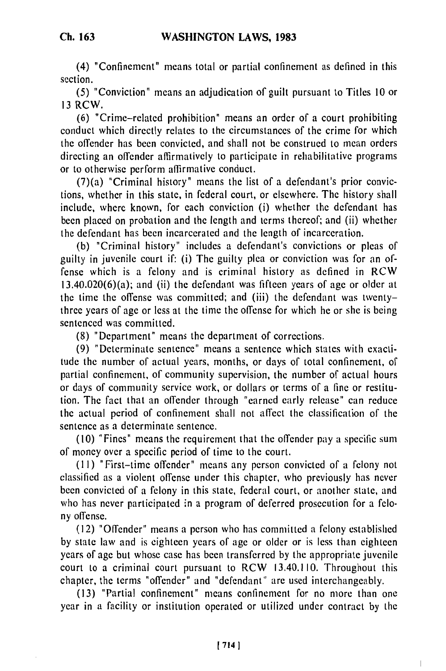## **Ch. 163**

(4) "Confinement" means total or partial confinement as defined in this section.

(5) "Conviction" means an adjudication of guilt pursuant to Titles 10 or 13 RCW.

(6) "Crime-related prohibition" means an order of a court prohibiting conduct which directly relates to the circumstances of the crime for which the offender has been convicted, and shall not be construed to mean orders directing an offender affirmatively to participate in rehabilitative programs or to otherwise perform affirmative conduct.

(7)(a) "Criminal history" means the list of a defendant's prior convictions, whether in this state, in federal court, or elsewhere. The history shall include, where known, for each conviction (i) whether the defendant has been placed on probation and the length and terms thereof; and (ii) whether the defendant has been incarcerated and the length of incarceration.

(b) "Criminal history" includes a defendant's convictions or pleas of guilty in juvenile court if: (i) The guilty plea or conviction was for an offense which is a felony and is criminal history as defined in RCW 13.40.020(6)(a); and (ii) the defendant was fifteen years of age or older at the time the offense was committed; and (iii) the defendant was twentythree years of age or less at the time the offense for which he or she is being sentenced was committed.

(8) "Department" means the department of corrections.

(9) "Determinate sentence" means a sentence which states with exactitude the number of actual years, months, or days of total confinement, of partial confinement, of community supervision, the number of actual hours or days of community service work, or dollars or terms of a fine or restitution. The fact that an offender through "earned early release" can reduce the actual period of confinement shall not affect the classification of the sentence as a determinate sentence.

(10) "Fines" means the requirement that the offender pay a specific sum of money over a specific period of time to the court.

(I **I)** "First-time offender" means any person convicted of a felony not classified as a violent offense under this chapter, who previously has never been convicted of a felony in this state, federal court, or another state, and who has never participated in a program of deferred prosecution for a felony offense.

(12) "Offender" means a person who has committed a felony established by state law and is eighteen years of age or older or is less than eighteen years of age but whose case has been transferred by the appropriate juvenile court to a criminal court pursuant to RCW 13.40.110. Throughout this chapter, the terms "offender" and "defendant" are used interchangeably.

(13) "Partial confinement" means confinement for no more than one year in a facility or institution operated or utilized under contract by the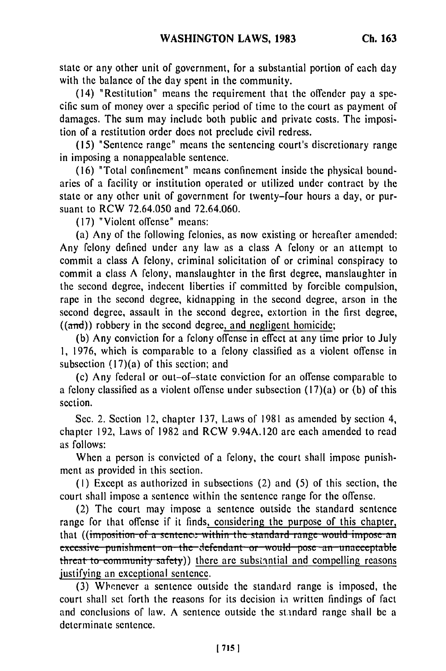state or any other unit of government, for a substantial portion of each day with the balance of the day spent in the community.

(14) "Restitution" means the requirement that the offender pay a specific sum of money over a specific period of time to the court as payment of damages. The sum may include both public and private costs. The imposition of a restitution order does not preclude civil redress.

(15) "Sentence range" means the sentencing court's discretionary range in imposing a nonappealable sentence.

(16) "Total confinement" means confinement inside the physical boundaries of a facility or institution operated or utilized under contract by the state or any other unit of government for twenty-four hours a day, or pursuant to RCW 72.64.050 and 72.64.060.

(17) "Violent offense" means:

(a) Any of the following felonies, as now existing or hereafter amended: Any felony defined under any law as a class A felony or an attempt to commit a class A felony, criminal solicitation of or criminal conspiracy to commit a class A felony, manslaughter in the first degree, manslaughter in the second degree, indecent liberties if committed by forcible compulsion, rape in the second degree, kidnapping in the second degree, arson in the second degree, assault in the second degree, extortion in the first degree,  $((and))$  robbery in the second degree, and negligent homicide;

(b) Any conviction for a felony offense in effect at any time prior to July **1,** 1976, which is comparable to a felony classified as a violent offense in subsection (17)(a) of this section; and

(c) Any federal or out-of-state conviction for an offense comparable to a felony classified as a violent offense under subsection (17)(a) or (b) of this section.

Sec. 2. Section 12, chapter 137, Laws of 1981 as amended by section 4, chapter 192, Laws of 1982 and RCW 9.94A.120 are each amended to read as follows:

When a person is convicted of a felony, the court shall impose punishment as provided in this section.

(I) Except as authorized in subsections (2) and (5) of this section, the court shall impose a sentence within the sentence range for the offense.

(2) The court may impose a sentence outside the standard sentence range for that offense if it finds, considering the purpose of this chapter, that ((imposition of a sentence within the standard range would impose an excessive punishment on the defendant or would pose an unacceptable threat to community safety) there are substantial and compelling reasons justifying an exceptional sentence.

(3) Whenever a sentence outside the standard range is imposed, the court shall set forth the reasons for its decision in written findings of fact and conclusions of law. A sentence outside the standard range shall be a determinate sentence.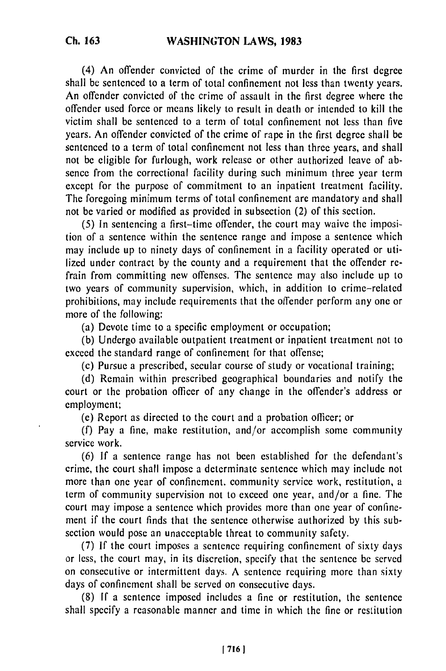**Ch. 163**

(4) An offender convicted of the crime of murder in the first degree shall be sentenced to a term of total confinement not less than twenty years. An offender convicted of the crime of assault in the first degree where the offender used force or means likely to result in death or intended to kill the victim shall be sentenced to a term of total confinement not less than five years. An offender convicted of the crime of rape in the first degree shall be sentenced to a term of total confinement not less than three years, and shall not be eligible for furlough, work release or other authorized leave of absence from the correctional facility during such minimum three year term except for the purpose of commitment to an inpatient treatment facility. The foregoing minimum terms of total confinement are mandatory and shall not be varied or modified as provided in subsection (2) of this section.

**(5)** In sentencing a first-time offender, the court may waive the imposition of a sentence within the sentence range and impose a sentence which may include up to ninety days of confinement in a facility operated or utilized under contract by the county and a requirement that the offender refrain from committing new offenses. The sentence may also include up to two years of community supervision, which, in addition to crime-related prohibitions, may include requirements that the offender perform any one or more of the following:

(a) Devote time to a specific employment or occupation;

(b) Undergo available outpatient treatment or inpatient treatment not to exceed the standard range of confinement for that offense;

(c) Pursue a prescribed, secular course of study or vocational training;

(d) Remain within prescribed geographical boundaries and notify the court or the probation officer of any change in the offender's address or employment;

(e) Report as directed to the court and a probation officer; or

(f) Pay a fine, make restitution, and/or accomplish some community service work.

(6) If a sentence range has not been established for the defendant's crime, the court shall impose a determinate sentence which may include not more than one year of confinement. community service work, restitution, a term of community supervision not to exceed one year, and/or a fine. The court may impose a sentence which provides more than one year of confinement if the court finds that the sentence otherwise authorized by this subsection would pose an unacceptable threat to community safety.

(7) If the court imposes a sentence requiring confinement of sixty days or less, the court may, in its discretion, specify that the sentence be served on consecutive or intermittent days. A sentence requiring more than sixty days of confinement shall be served on consecutive days.

(8) If a sentence imposed includes a fine or restitution, the sentence shall specify a reasonable manner and time in which the fine or restitution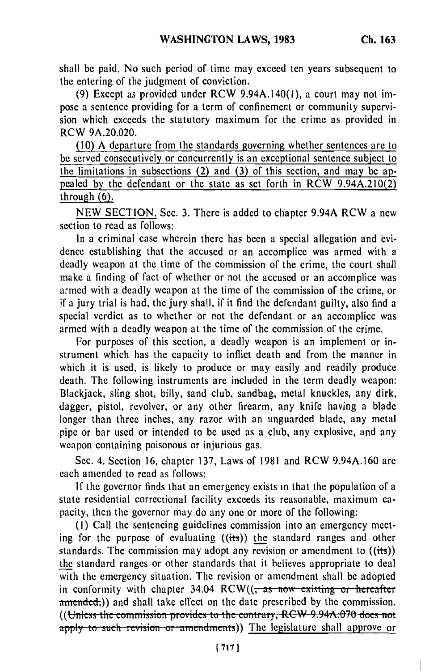shall be paid. No such period of time may exceed ten years subsequent to the entering of the judgment of conviction.

(9) Except as provided under RCW 9.94A.140(1), a court may not impose a sentence providing for a term of confinement or community supervision which exceeds the statutory maximum for the crime as provided in RCW 9A.20.020.

(10) A departure from the standards governing whether sentences are to be served consecutively or concurrently is an exceptional sentence subject to the limitations in subsections (2) and (3) of this section, and may be appealed by the defendant or the state as set forth in RCW 9.94A.210(2) through (6).

NEW SECTION. Sec. 3. There is added to chapter 9.94A RCW a new section to read as follows:

In a criminal case wherein there has been a special allegation and evidence establishing that the accused or an accomplice was armed with a deadly weapon at the time of the commission of the crime, the court shall make a finding of fact of whether or not the accused or an accomplice was armed with a deadly weapon at the time of the commission of the crime, or if a jury trial is had, the jury shall, if it find the defendant guilty, also find a special verdict as to whether or not the defendant or an accomplice was armed with a deadly weapon at the time of the commission of the crime.

For purposes of this section, a deadly weapon is an implement or instrument which has the capacity to inflict death and from the manner in which it is used, is likely to produce or may easily and readily produce death. The following instruments are included in the term deadly weapon: Blackjack, sling shot, billy, sand club, sandbag, metal knuckles, any dirk, dagger, pistol, revolver, or any other firearm, any knife having a blade longer than three inches, any razor with an unguarded blade, any metal pipe or bar used or intended to be used as a club, any explosive, and any weapon containing poisonous or injurious gas.

Sec. 4. Section 16, chapter 137, Laws of 1981 and RCW 9.94A.160 are each amended to read as follows:

If the governor finds that an emergency exists in that the population of a state residential correctional facility exceeds its reasonable, maximum capacity, then the governor may do any one or more of the following:

(I) Call the sentencing guidelines commission into an emergency meeting for the purpose of evaluating ((its)) the standard ranges and other standards. The commission may adopt any revision or amendment to  $((its))$ the standard ranges or other standards that it believes appropriate to deal with the emergency situation. The revision or amendment shall be adopted in conformity with chapter 34.04 RCW(( $\frac{1}{\sqrt{1}}$  as now existing or hereafter amended;)) and shall take effect on the date prescribed by the commission. ((Unless the commission provides to the contrary, RCW 9.94A.070 does not apply to such revision or amendments)) The legislature shall approve or